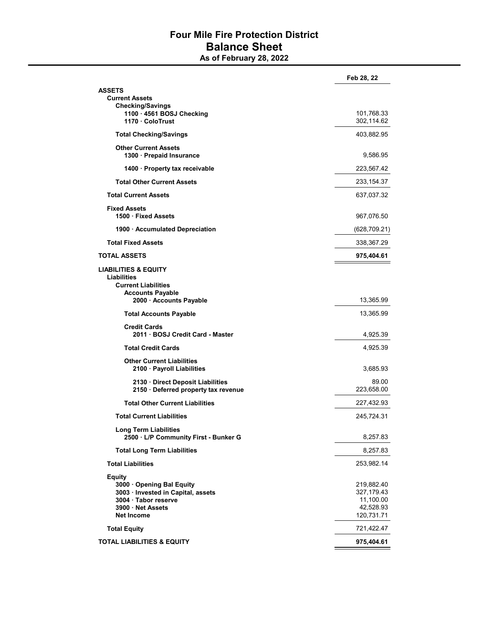## Four Mile Fire Protection District Balance Sheet

As of February 28, 2022

|                                                                                                                                                | Feb 28, 22                                                       |
|------------------------------------------------------------------------------------------------------------------------------------------------|------------------------------------------------------------------|
| ASSETS<br><b>Current Assets</b>                                                                                                                |                                                                  |
| <b>Checking/Savings</b><br>1100 · 4561 BOSJ Checking<br>1170 · ColoTrust                                                                       | 101,768.33<br>302,114.62                                         |
| <b>Total Checking/Savings</b>                                                                                                                  | 403,882.95                                                       |
| <b>Other Current Assets</b><br>1300 · Prepaid Insurance                                                                                        | 9,586.95                                                         |
| 1400 · Property tax receivable                                                                                                                 | 223,567.42                                                       |
| <b>Total Other Current Assets</b>                                                                                                              | 233,154.37                                                       |
| <b>Total Current Assets</b>                                                                                                                    | 637,037.32                                                       |
| <b>Fixed Assets</b><br>1500 · Fixed Assets                                                                                                     | 967,076.50                                                       |
| 1900 · Accumulated Depreciation                                                                                                                | (628,709.21)                                                     |
| <b>Total Fixed Assets</b>                                                                                                                      | 338,367.29                                                       |
| TOTAL ASSETS                                                                                                                                   | 975,404.61                                                       |
| LIABILITIES & EQUITY<br>Liabilities<br><b>Current Liabilities</b><br><b>Accounts Payable</b><br>2000 · Accounts Payable                        | 13,365.99                                                        |
| <b>Total Accounts Payable</b>                                                                                                                  | 13,365.99                                                        |
| <b>Credit Cards</b><br>2011 · BOSJ Credit Card - Master                                                                                        | 4,925.39                                                         |
| <b>Total Credit Cards</b>                                                                                                                      | 4,925.39                                                         |
| <b>Other Current Liabilities</b><br>2100 · Payroll Liabilities                                                                                 | 3,685.93                                                         |
| 2130 Direct Deposit Liabilities<br>2150 · Deferred property tax revenue                                                                        | 89.00<br>223,658.00                                              |
| <b>Total Other Current Liabilities</b>                                                                                                         | 227,432.93                                                       |
| <b>Total Current Liabilities</b>                                                                                                               | 245,724.31                                                       |
| <b>Long Term Liabilities</b><br>2500 · L/P Community First - Bunker G                                                                          | 8,257.83                                                         |
| <b>Total Long Term Liabilities</b>                                                                                                             | 8,257.83                                                         |
| <b>Total Liabilities</b>                                                                                                                       | 253,982.14                                                       |
| <b>Equity</b><br>3000 Opening Bal Equity<br>3003 · Invested in Capital, assets<br>3004 · Tabor reserve<br>3900 Net Assets<br><b>Net Income</b> | 219,882.40<br>327,179.43<br>11,100.00<br>42,528.93<br>120,731.71 |
| <b>Total Equity</b>                                                                                                                            | 721,422.47                                                       |
| TOTAL LIABILITIES & EQUITY                                                                                                                     | 975,404.61                                                       |
|                                                                                                                                                |                                                                  |